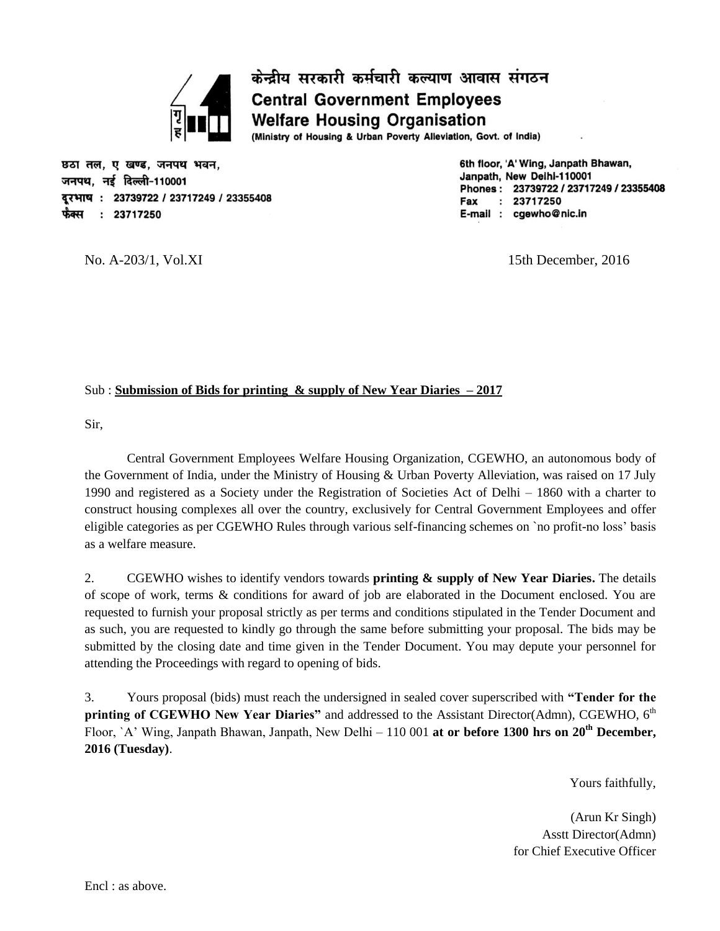

छठा तल. ए खण्ड. जनपथ भवन. जनपथ, नई दिल्ली-110001 दरभाष: 23739722 / 23717249 / 23355408 फैक्स  $: 23717250$ 

6th floor, 'A' Wing, Janpath Bhawan, Janpath, New Delhi-110001 Phones: 23739722 / 23717249 / 23355408 Fax  $: 23717250$ E-mail: cgewho@nic.in

No. A-203/1, Vol.XI 15th December, 2016

### Sub : **Submission of Bids for printing & supply of New Year Diaries – 2017**

Sir,

Central Government Employees Welfare Housing Organization, CGEWHO, an autonomous body of the Government of India, under the Ministry of Housing & Urban Poverty Alleviation, was raised on 17 July 1990 and registered as a Society under the Registration of Societies Act of Delhi – 1860 with a charter to construct housing complexes all over the country, exclusively for Central Government Employees and offer eligible categories as per CGEWHO Rules through various self-financing schemes on `no profit-no loss' basis as a welfare measure.

केन्द्रीय सरकारी कर्मचारी कल्याण आवास संगठन

(Ministry of Housing & Urban Poverty Alleviation, Govt. of India)

**Central Government Employees Welfare Housing Organisation** 

2. CGEWHO wishes to identify vendors towards **printing & supply of New Year Diaries.** The details of scope of work, terms & conditions for award of job are elaborated in the Document enclosed. You are requested to furnish your proposal strictly as per terms and conditions stipulated in the Tender Document and as such, you are requested to kindly go through the same before submitting your proposal. The bids may be submitted by the closing date and time given in the Tender Document. You may depute your personnel for attending the Proceedings with regard to opening of bids.

3. Yours proposal (bids) must reach the undersigned in sealed cover superscribed with **"Tender for the**  printing of CGEWHO New Year Diaries" and addressed to the Assistant Director(Admn), CGEWHO, 6<sup>th</sup> Floor, `A' Wing, Janpath Bhawan, Janpath, New Delhi – 110 001 at or before 1300 hrs on 20<sup>th</sup> December, **2016 (Tuesday)**.

Yours faithfully,

(Arun Kr Singh) Asstt Director(Admn) for Chief Executive Officer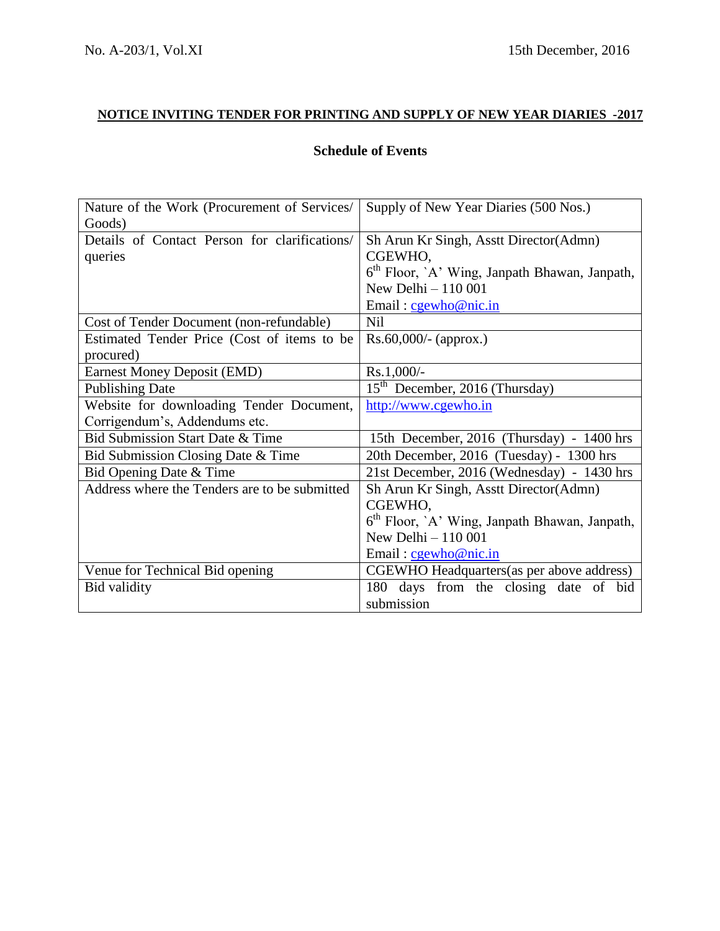# **NOTICE INVITING TENDER FOR PRINTING AND SUPPLY OF NEW YEAR DIARIES -2017**

# **Schedule of Events**

| Nature of the Work (Procurement of Services/  | Supply of New Year Diaries (500 Nos.)                     |  |  |  |  |
|-----------------------------------------------|-----------------------------------------------------------|--|--|--|--|
| Goods)                                        |                                                           |  |  |  |  |
| Details of Contact Person for clarifications/ | Sh Arun Kr Singh, Asstt Director(Admn)                    |  |  |  |  |
| queries                                       | CGEWHO,                                                   |  |  |  |  |
|                                               | 6 <sup>th</sup> Floor, `A' Wing, Janpath Bhawan, Janpath, |  |  |  |  |
|                                               | New Delhi - 110 001                                       |  |  |  |  |
|                                               | Email: cgewho@nic.in                                      |  |  |  |  |
| Cost of Tender Document (non-refundable)      | <b>Nil</b>                                                |  |  |  |  |
| Estimated Tender Price (Cost of items to be   | $Rs.60,000/$ - (approx.)                                  |  |  |  |  |
| procured)                                     |                                                           |  |  |  |  |
| <b>Earnest Money Deposit (EMD)</b>            | $Rs.1,000/-$                                              |  |  |  |  |
| <b>Publishing Date</b>                        | 15 <sup>th</sup> December, 2016 (Thursday)                |  |  |  |  |
| Website for downloading Tender Document,      | http://www.cgewho.in                                      |  |  |  |  |
| Corrigendum's, Addendums etc.                 |                                                           |  |  |  |  |
| Bid Submission Start Date & Time              | 15th December, 2016 (Thursday) - 1400 hrs                 |  |  |  |  |
| Bid Submission Closing Date & Time            | 20th December, 2016 (Tuesday) - 1300 hrs                  |  |  |  |  |
| Bid Opening Date & Time                       | 21st December, 2016 (Wednesday) - 1430 hrs                |  |  |  |  |
| Address where the Tenders are to be submitted | Sh Arun Kr Singh, Asstt Director(Admn)                    |  |  |  |  |
|                                               | CGEWHO,                                                   |  |  |  |  |
|                                               | 6 <sup>th</sup> Floor, 'A' Wing, Janpath Bhawan, Janpath, |  |  |  |  |
|                                               | New Delhi - 110 001                                       |  |  |  |  |
|                                               | Email: $c$ gewho@nic.in                                   |  |  |  |  |
| Venue for Technical Bid opening               | CGEWHO Headquarters (as per above address)                |  |  |  |  |
| Bid validity                                  | 180 days from the closing date of<br>bid                  |  |  |  |  |
|                                               | submission                                                |  |  |  |  |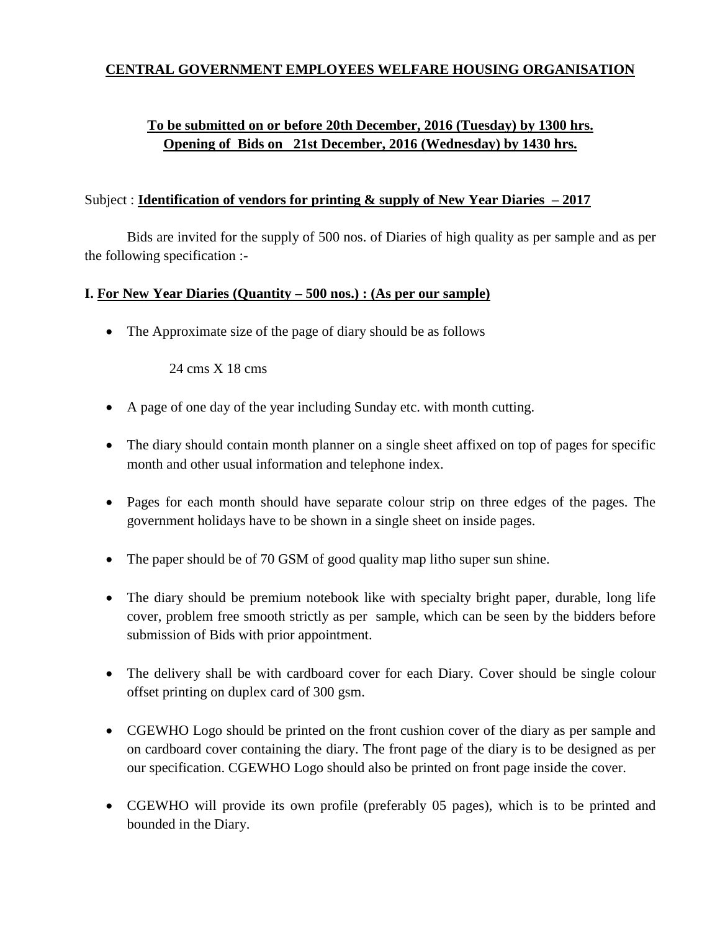## **CENTRAL GOVERNMENT EMPLOYEES WELFARE HOUSING ORGANISATION**

# **To be submitted on or before 20th December, 2016 (Tuesday) by 1300 hrs. Opening of Bids on 21st December, 2016 (Wednesday) by 1430 hrs.**

### Subject : **Identification of vendors for printing & supply of New Year Diaries – 2017**

Bids are invited for the supply of 500 nos. of Diaries of high quality as per sample and as per the following specification :-

### **I. For New Year Diaries (Quantity – 500 nos.) : (As per our sample)**

• The Approximate size of the page of diary should be as follows

24 cms X 18 cms

- A page of one day of the year including Sunday etc. with month cutting.
- The diary should contain month planner on a single sheet affixed on top of pages for specific month and other usual information and telephone index.
- Pages for each month should have separate colour strip on three edges of the pages. The government holidays have to be shown in a single sheet on inside pages.
- The paper should be of 70 GSM of good quality map litho super sun shine.
- The diary should be premium notebook like with specialty bright paper, durable, long life cover, problem free smooth strictly as per sample, which can be seen by the bidders before submission of Bids with prior appointment.
- The delivery shall be with cardboard cover for each Diary. Cover should be single colour offset printing on duplex card of 300 gsm.
- CGEWHO Logo should be printed on the front cushion cover of the diary as per sample and on cardboard cover containing the diary. The front page of the diary is to be designed as per our specification. CGEWHO Logo should also be printed on front page inside the cover.
- CGEWHO will provide its own profile (preferably 05 pages), which is to be printed and bounded in the Diary.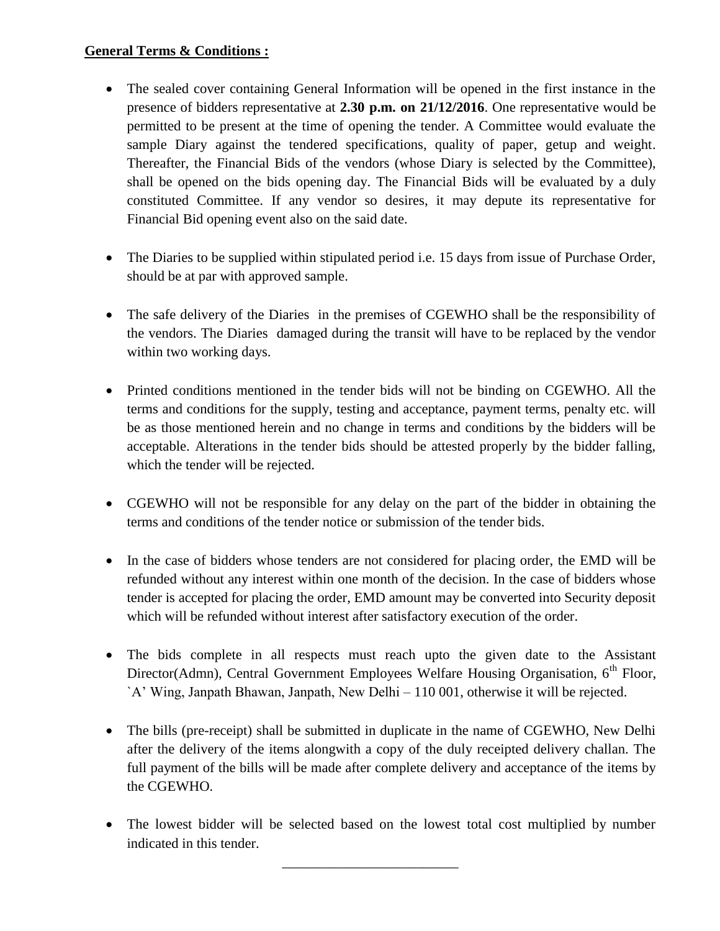## **General Terms & Conditions :**

- The sealed cover containing General Information will be opened in the first instance in the presence of bidders representative at **2.30 p.m. on 21/12/2016**. One representative would be permitted to be present at the time of opening the tender. A Committee would evaluate the sample Diary against the tendered specifications, quality of paper, getup and weight. Thereafter, the Financial Bids of the vendors (whose Diary is selected by the Committee), shall be opened on the bids opening day. The Financial Bids will be evaluated by a duly constituted Committee. If any vendor so desires, it may depute its representative for Financial Bid opening event also on the said date.
- The Diaries to be supplied within stipulated period i.e. 15 days from issue of Purchase Order, should be at par with approved sample.
- The safe delivery of the Diaries in the premises of CGEWHO shall be the responsibility of the vendors. The Diaries damaged during the transit will have to be replaced by the vendor within two working days.
- Printed conditions mentioned in the tender bids will not be binding on CGEWHO. All the terms and conditions for the supply, testing and acceptance, payment terms, penalty etc. will be as those mentioned herein and no change in terms and conditions by the bidders will be acceptable. Alterations in the tender bids should be attested properly by the bidder falling, which the tender will be rejected.
- CGEWHO will not be responsible for any delay on the part of the bidder in obtaining the terms and conditions of the tender notice or submission of the tender bids.
- In the case of bidders whose tenders are not considered for placing order, the EMD will be refunded without any interest within one month of the decision. In the case of bidders whose tender is accepted for placing the order, EMD amount may be converted into Security deposit which will be refunded without interest after satisfactory execution of the order.
- The bids complete in all respects must reach upto the given date to the Assistant Director(Admn), Central Government Employees Welfare Housing Organisation, 6<sup>th</sup> Floor, `A' Wing, Janpath Bhawan, Janpath, New Delhi – 110 001, otherwise it will be rejected.
- The bills (pre-receipt) shall be submitted in duplicate in the name of CGEWHO, New Delhi after the delivery of the items alongwith a copy of the duly receipted delivery challan. The full payment of the bills will be made after complete delivery and acceptance of the items by the CGEWHO.
- The lowest bidder will be selected based on the lowest total cost multiplied by number indicated in this tender.

\_\_\_\_\_\_\_\_\_\_\_\_\_\_\_\_\_\_\_\_\_\_\_\_\_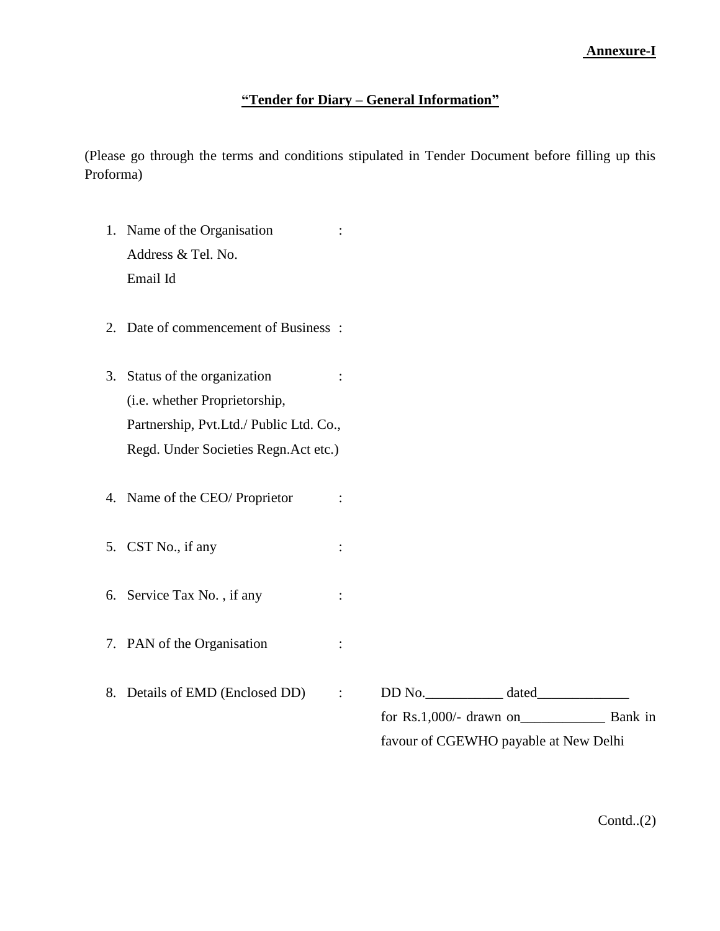### **"Tender for Diary – General Information"**

(Please go through the terms and conditions stipulated in Tender Document before filling up this Proforma)

- 1. Name of the Organisation : Address & Tel. No. Email Id
- 2. Date of commencement of Business :
- 3. Status of the organization : (i.e. whether Proprietorship, Partnership, Pvt.Ltd./ Public Ltd. Co., Regd. Under Societies Regn.Act etc.)
- 4. Name of the CEO/ Proprietor :
- 5. CST No., if any :
- 6. Service Tax No. , if any :
- 7. PAN of the Organisation :
- 8. Details of EMD (Enclosed DD) : DD No. \_\_\_\_\_\_\_\_\_\_\_\_ dated\_\_\_\_\_\_\_\_\_\_\_\_\_\_\_\_\_\_\_\_\_

for Rs.1,000/- drawn on\_\_\_\_\_\_\_\_\_\_\_\_ Bank in favour of CGEWHO payable at New Delhi

Contd..(2)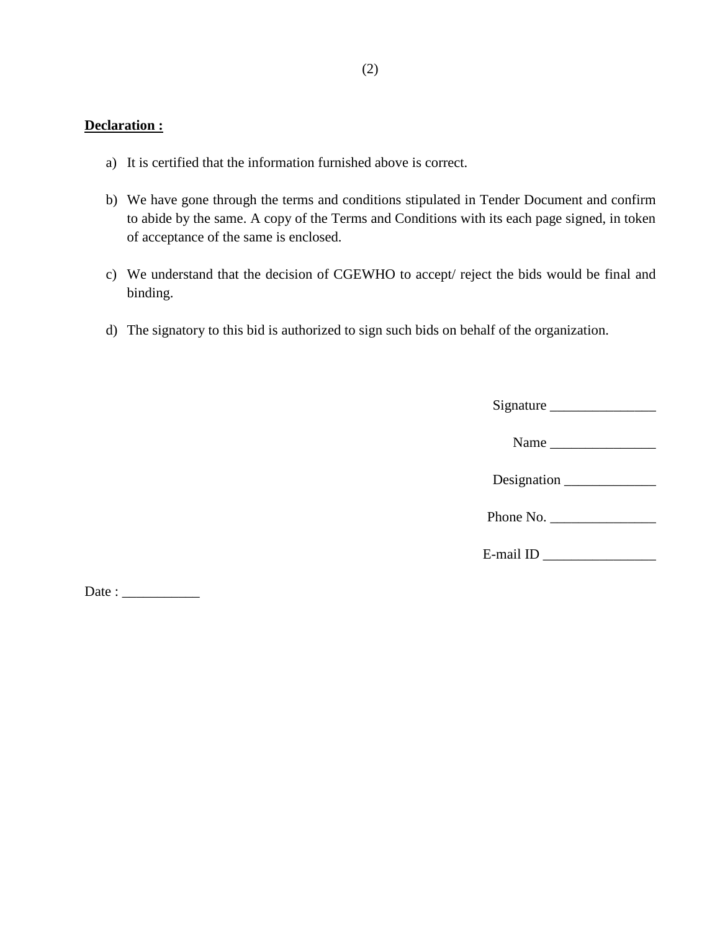## **Declaration :**

- a) It is certified that the information furnished above is correct.
- b) We have gone through the terms and conditions stipulated in Tender Document and confirm to abide by the same. A copy of the Terms and Conditions with its each page signed, in token of acceptance of the same is enclosed.
- c) We understand that the decision of CGEWHO to accept/ reject the bids would be final and binding.
- d) The signatory to this bid is authorized to sign such bids on behalf of the organization.

 $Date:$